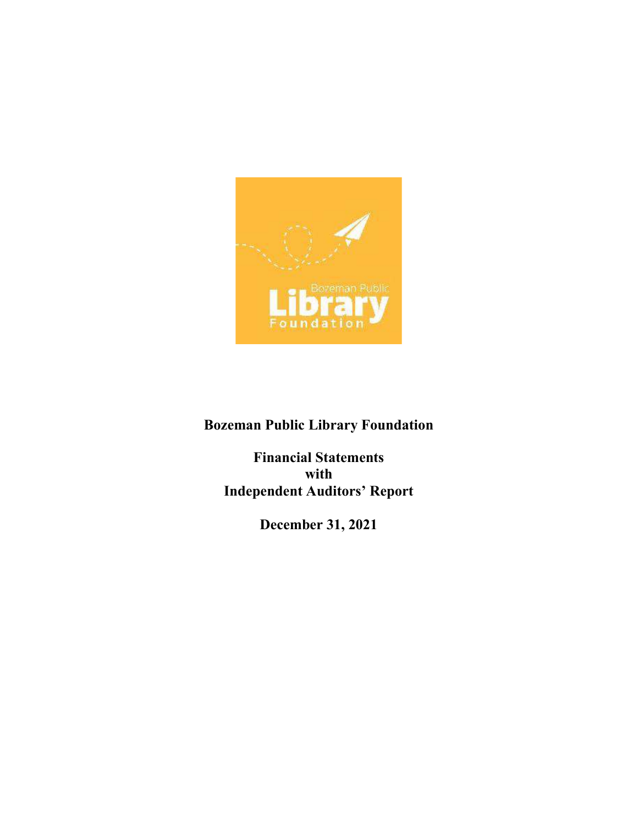

Bozeman Public Library Foundation

Financial Statements with Independent Auditors' Report

December 31, 2021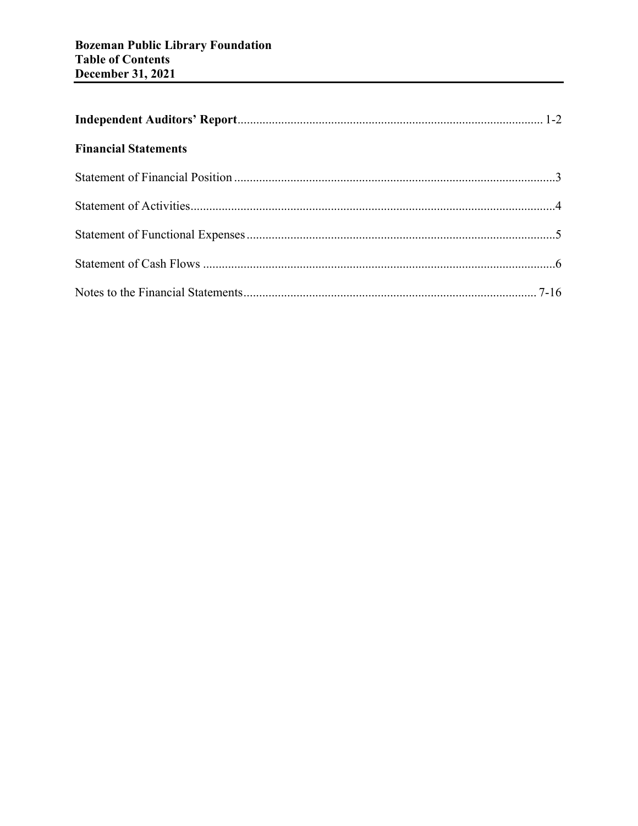| <b>Financial Statements</b> |  |
|-----------------------------|--|
|                             |  |
|                             |  |
|                             |  |
|                             |  |
|                             |  |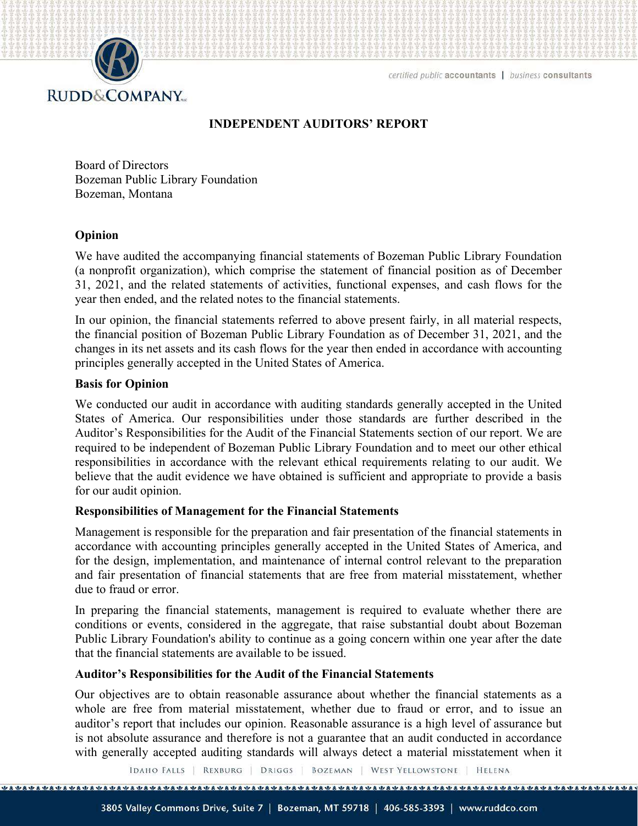

# INDEPENDENT AUDITORS' REPORT

Board of Directors Bozeman Public Library Foundation Bozeman, Montana

#### Opinion

We have audited the accompanying financial statements of Bozeman Public Library Foundation (a nonprofit organization), which comprise the statement of financial position as of December 31, 2021, and the related statements of activities, functional expenses, and cash flows for the year then ended, and the related notes to the financial statements.

In our opinion, the financial statements referred to above present fairly, in all material respects, the financial position of Bozeman Public Library Foundation as of December 31, 2021, and the changes in its net assets and its cash flows for the year then ended in accordance with accounting principles generally accepted in the United States of America.

#### Basis for Opinion

We conducted our audit in accordance with auditing standards generally accepted in the United States of America. Our responsibilities under those standards are further described in the Auditor's Responsibilities for the Audit of the Financial Statements section of our report. We are required to be independent of Bozeman Public Library Foundation and to meet our other ethical responsibilities in accordance with the relevant ethical requirements relating to our audit. We believe that the audit evidence we have obtained is sufficient and appropriate to provide a basis for our audit opinion.

#### Responsibilities of Management for the Financial Statements

Management is responsible for the preparation and fair presentation of the financial statements in accordance with accounting principles generally accepted in the United States of America, and for the design, implementation, and maintenance of internal control relevant to the preparation and fair presentation of financial statements that are free from material misstatement, whether due to fraud or error.

In preparing the financial statements, management is required to evaluate whether there are conditions or events, considered in the aggregate, that raise substantial doubt about Bozeman Public Library Foundation's ability to continue as a going concern within one year after the date that the financial statements are available to be issued.

#### Auditor's Responsibilities for the Audit of the Financial Statements

Our objectives are to obtain reasonable assurance about whether the financial statements as a whole are free from material misstatement, whether due to fraud or error, and to issue an auditor's report that includes our opinion. Reasonable assurance is a high level of assurance but is not absolute assurance and therefore is not a guarantee that an audit conducted in accordance with generally accepted auditing standards will always detect a material misstatement when it

IDAHO FALLS | REXBURG | DRIGGS | BOZEMAN | WEST YELLOWSTONE | HELENA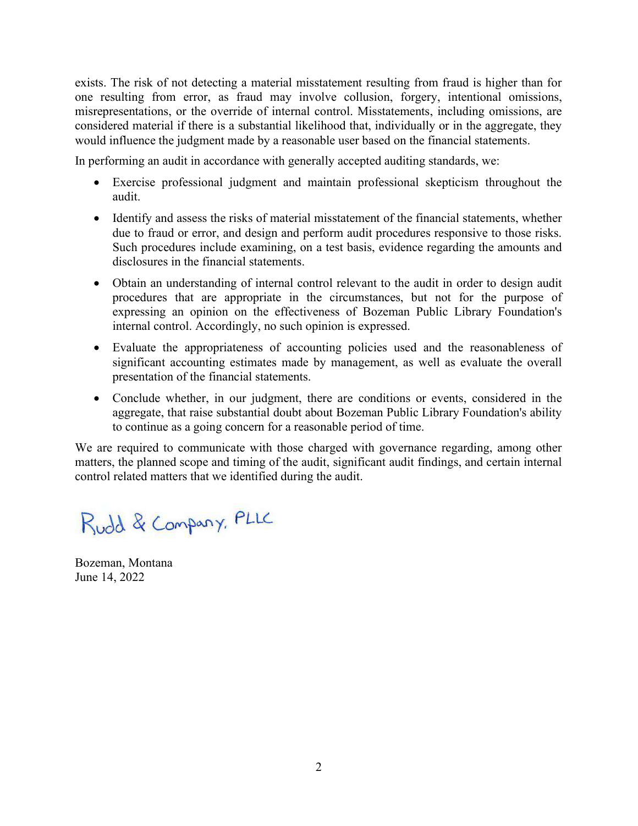exists. The risk of not detecting a material misstatement resulting from fraud is higher than for one resulting from error, as fraud may involve collusion, forgery, intentional omissions, misrepresentations, or the override of internal control. Misstatements, including omissions, are considered material if there is a substantial likelihood that, individually or in the aggregate, they would influence the judgment made by a reasonable user based on the financial statements.

In performing an audit in accordance with generally accepted auditing standards, we:

- Exercise professional judgment and maintain professional skepticism throughout the audit.
- Identify and assess the risks of material misstatement of the financial statements, whether due to fraud or error, and design and perform audit procedures responsive to those risks. Such procedures include examining, on a test basis, evidence regarding the amounts and disclosures in the financial statements.
- Obtain an understanding of internal control relevant to the audit in order to design audit procedures that are appropriate in the circumstances, but not for the purpose of expressing an opinion on the effectiveness of Bozeman Public Library Foundation's internal control. Accordingly, no such opinion is expressed.
- Evaluate the appropriateness of accounting policies used and the reasonableness of significant accounting estimates made by management, as well as evaluate the overall presentation of the financial statements.
- Conclude whether, in our judgment, there are conditions or events, considered in the aggregate, that raise substantial doubt about Bozeman Public Library Foundation's ability to continue as a going concern for a reasonable period of time.

We are required to communicate with those charged with governance regarding, among other matters, the planned scope and timing of the audit, significant audit findings, and certain internal control related matters that we identified during the audit.

Rudd & Company, PLLC

Bozeman, Montana June 14, 2022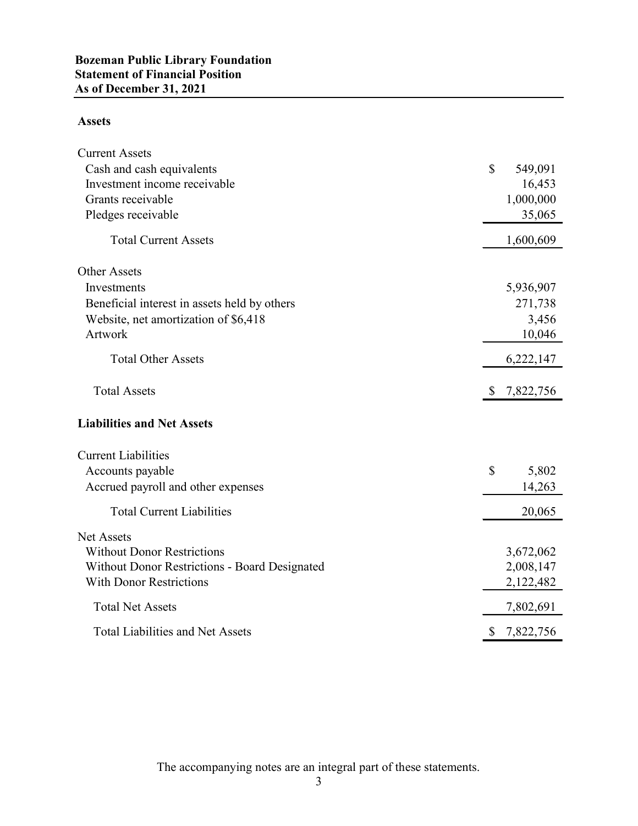# Assets

| <b>Statement of Financial Position</b>        |                                    |
|-----------------------------------------------|------------------------------------|
| <b>As of December 31, 2021</b>                |                                    |
| <b>Assets</b>                                 |                                    |
| <b>Current Assets</b>                         |                                    |
| Cash and cash equivalents                     | $\mathcal{S}$<br>549,091           |
| Investment income receivable                  | 16,453                             |
| Grants receivable                             | 1,000,000                          |
| Pledges receivable                            | 35,065                             |
| <b>Total Current Assets</b>                   | 1,600,609                          |
| Other Assets                                  |                                    |
| Investments                                   | 5,936,907                          |
| Beneficial interest in assets held by others  | 271,738                            |
| Website, net amortization of \$6,418          | 3,456                              |
| Artwork                                       | 10,046                             |
| <b>Total Other Assets</b>                     | 6,222,147                          |
| <b>Total Assets</b>                           | 7,822,756<br>S.                    |
| <b>Liabilities and Net Assets</b>             |                                    |
| <b>Current Liabilities</b>                    |                                    |
| Accounts payable                              | $\boldsymbol{\mathsf{S}}$<br>5,802 |
| Accrued payroll and other expenses            | 14,263                             |
| <b>Total Current Liabilities</b>              | 20,065                             |
| Net Assets                                    |                                    |
| <b>Without Donor Restrictions</b>             | 3,672,062                          |
| Without Donor Restrictions - Board Designated | 2,008,147                          |
| <b>With Donor Restrictions</b>                | 2,122,482                          |
| <b>Total Net Assets</b>                       | 7,802,691                          |
| <b>Total Liabilities and Net Assets</b>       | 7,822,756<br>\$                    |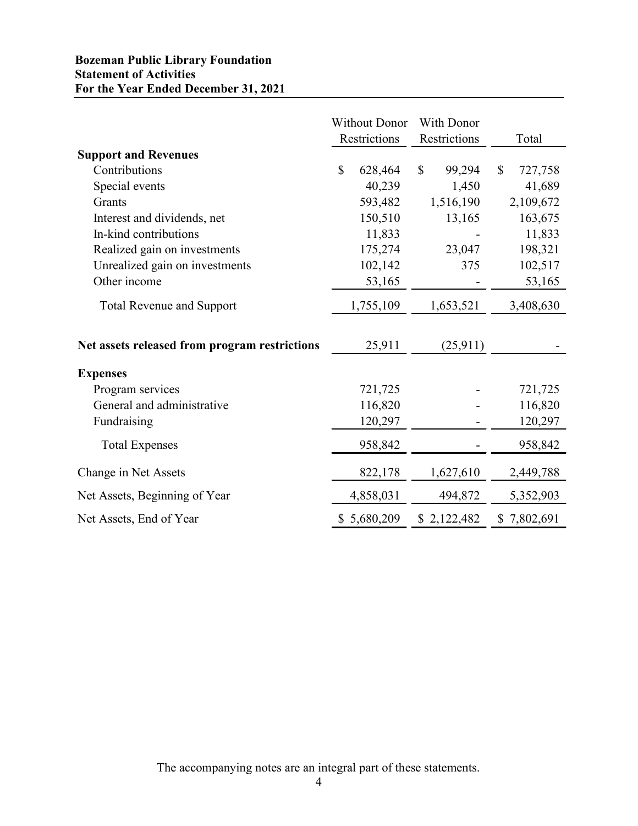# Bozeman Public Library Foundation Statement of Activities For the Year Ended December 31, 2021

| <b>Bozeman Public Library Foundation</b><br><b>Statement of Activities</b><br>For the Year Ended December 31, 2021 |                                      |                            |                          |
|--------------------------------------------------------------------------------------------------------------------|--------------------------------------|----------------------------|--------------------------|
|                                                                                                                    | <b>Without Donor</b><br>Restrictions | With Donor<br>Restrictions | Total                    |
| <b>Support and Revenues</b>                                                                                        |                                      |                            |                          |
| Contributions                                                                                                      | \$<br>628,464                        | $\mathbb{S}$<br>99,294     | 727,758<br><sup>\$</sup> |
| Special events                                                                                                     | 40,239                               | 1,450                      | 41,689                   |
| Grants                                                                                                             | 593,482                              | 1,516,190                  | 2,109,672                |
| Interest and dividends, net                                                                                        | 150,510                              | 13,165                     | 163,675                  |
| In-kind contributions                                                                                              | 11,833                               |                            | 11,833                   |
| Realized gain on investments                                                                                       | 175,274                              | 23,047                     | 198,321                  |
| Unrealized gain on investments                                                                                     | 102,142                              | 375                        | 102,517                  |
| Other income                                                                                                       | 53,165                               |                            | 53,165                   |
| <b>Total Revenue and Support</b>                                                                                   | 1,755,109                            | 1,653,521                  | 3,408,630                |
| Net assets released from program restrictions                                                                      | 25,911                               | (25,911)                   |                          |
| <b>Expenses</b>                                                                                                    |                                      |                            |                          |
| Program services                                                                                                   | 721,725                              |                            | 721,725                  |
| General and administrative                                                                                         | 116,820                              |                            | 116,820                  |
| Fundraising                                                                                                        | 120,297                              | $\overline{a}$             | 120,297                  |
| <b>Total Expenses</b>                                                                                              | 958,842                              | $\overline{\phantom{a}}$   | 958,842                  |
| Change in Net Assets                                                                                               | 822,178                              | 1,627,610                  | 2,449,788                |
| Net Assets, Beginning of Year                                                                                      | 4,858,031                            | 494,872                    | 5,352,903                |
| Net Assets, End of Year                                                                                            | \$5,680,209                          | \$2,122,482                | \$7,802,691              |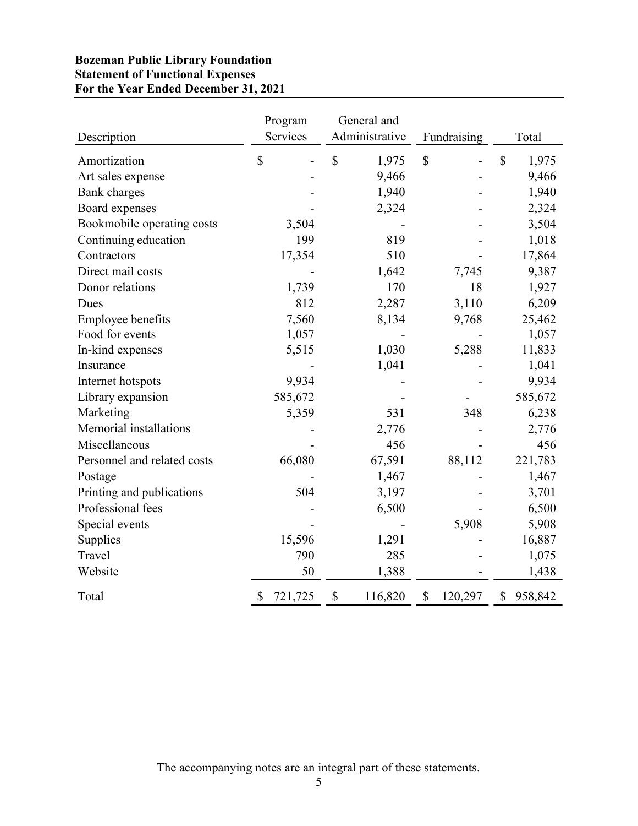# Bozeman Public Library Foundation Statement of Functional Expenses For the Year Ended December 31, 2021

|                             |                         | General and           |                         |                                    |
|-----------------------------|-------------------------|-----------------------|-------------------------|------------------------------------|
| Description                 | Program<br>Services     | Administrative        | Fundraising             | Total                              |
| Amortization                | $\mathbb{S}$            | $\mathbb{S}$<br>1,975 | $\mathcal{S}$           | $\boldsymbol{\mathsf{S}}$<br>1,975 |
| Art sales expense           |                         | 9,466                 |                         | 9,466                              |
| <b>Bank</b> charges         |                         | 1,940                 |                         | 1,940                              |
| Board expenses              |                         | 2,324                 |                         | 2,324                              |
| Bookmobile operating costs  | 3,504                   |                       |                         | 3,504                              |
| Continuing education        | 199                     | 819                   |                         | 1,018                              |
| Contractors                 | 17,354                  | 510                   |                         | 17,864                             |
| Direct mail costs           |                         | 1,642                 | 7,745                   | 9,387                              |
| Donor relations             | 1,739                   | 170                   | 18                      | 1,927                              |
| Dues                        | 812                     | 2,287                 | 3,110                   | 6,209                              |
| <b>Employee benefits</b>    | 7,560                   | 8,134                 | 9,768                   | 25,462                             |
| Food for events             | 1,057                   |                       |                         | 1,057                              |
| In-kind expenses            | 5,515                   | 1,030                 | 5,288                   | 11,833                             |
| Insurance                   |                         | 1,041                 |                         | 1,041                              |
| Internet hotspots           | 9,934                   |                       |                         | 9,934                              |
| Library expansion           | 585,672                 |                       |                         | 585,672                            |
| Marketing                   | 5,359                   | 531                   | 348                     | 6,238                              |
| Memorial installations      |                         | 2,776                 |                         | 2,776                              |
| Miscellaneous               |                         | 456                   |                         | 456                                |
| Personnel and related costs | 66,080                  | 67,591                | 88,112                  | 221,783                            |
| Postage                     |                         | 1,467                 |                         | 1,467                              |
| Printing and publications   | 504                     | 3,197                 |                         | 3,701                              |
| Professional fees           |                         | 6,500                 |                         | 6,500                              |
| Special events              |                         |                       | 5,908                   | 5,908                              |
|                             | 15,596                  | 1,291                 |                         | 16,887                             |
| Supplies                    | 790                     |                       |                         |                                    |
| Travel<br>Website           | 50                      | 285<br>1,388          |                         | 1,075<br>1,438                     |
|                             |                         |                       |                         |                                    |
| Total                       | 721,725<br><sup>2</sup> | 116,820<br>\$         | 120,297<br>$\mathbb{S}$ | \$958,842                          |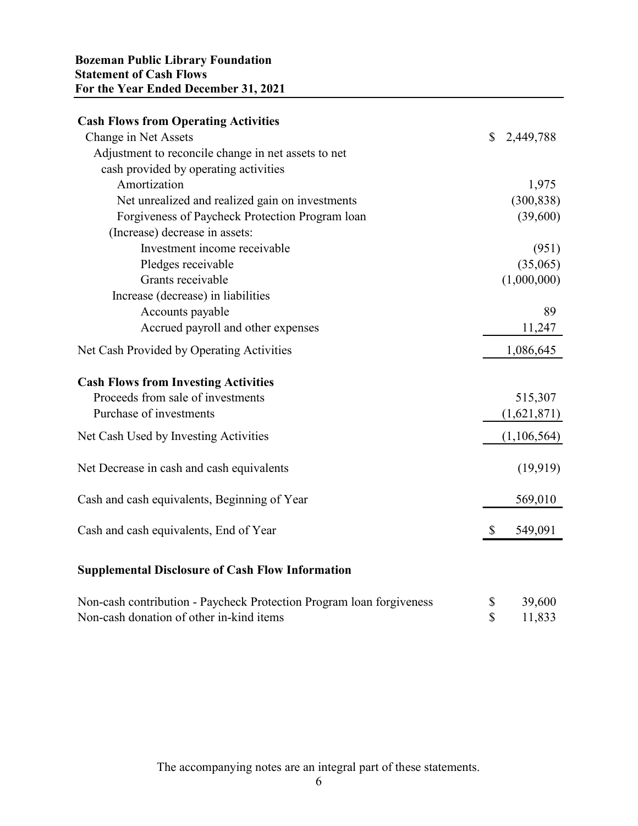| <b>Bozeman Public Library Foundation</b><br><b>Statement of Cash Flows</b>                                       |                                       |
|------------------------------------------------------------------------------------------------------------------|---------------------------------------|
| For the Year Ended December 31, 2021                                                                             |                                       |
| <b>Cash Flows from Operating Activities</b>                                                                      |                                       |
| Change in Net Assets                                                                                             | \$<br>2,449,788                       |
| Adjustment to reconcile change in net assets to net                                                              |                                       |
| cash provided by operating activities                                                                            |                                       |
| Amortization                                                                                                     | 1,975                                 |
| Net unrealized and realized gain on investments                                                                  | (300, 838)                            |
| Forgiveness of Paycheck Protection Program loan                                                                  | (39,600)                              |
| (Increase) decrease in assets:<br>Investment income receivable                                                   |                                       |
| Pledges receivable                                                                                               | (951)<br>(35,065)                     |
| Grants receivable                                                                                                | (1,000,000)                           |
| Increase (decrease) in liabilities                                                                               |                                       |
| Accounts payable                                                                                                 | 89                                    |
| Accrued payroll and other expenses                                                                               | 11,247                                |
| Net Cash Provided by Operating Activities                                                                        | 1,086,645                             |
| <b>Cash Flows from Investing Activities</b>                                                                      |                                       |
| Proceeds from sale of investments                                                                                | 515,307                               |
| Purchase of investments                                                                                          | (1,621,871)                           |
| Net Cash Used by Investing Activities                                                                            | (1,106,564)                           |
| Net Decrease in cash and cash equivalents                                                                        | (19,919)                              |
| Cash and cash equivalents, Beginning of Year                                                                     | 569,010                               |
| Cash and cash equivalents, End of Year                                                                           | 549,091<br>S.                         |
| <b>Supplemental Disclosure of Cash Flow Information</b>                                                          |                                       |
|                                                                                                                  |                                       |
| Non-cash contribution - Paycheck Protection Program loan forgiveness<br>Non-cash donation of other in-kind items | 39,600<br>\$<br>$\mathbb S$<br>11,833 |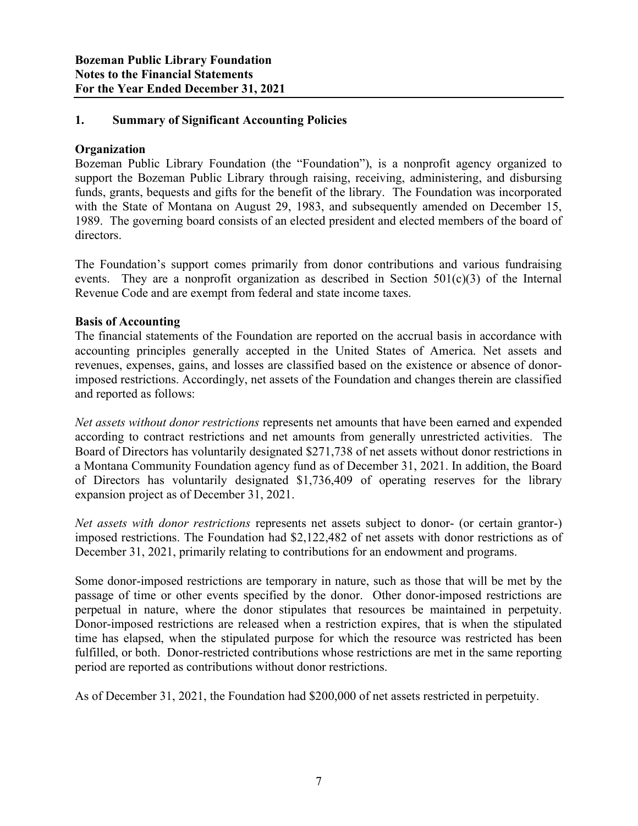# 1. Summary of Significant Accounting Policies

# **Organization**

Bozeman Public Library Foundation (the "Foundation"), is a nonprofit agency organized to support the Bozeman Public Library through raising, receiving, administering, and disbursing funds, grants, bequests and gifts for the benefit of the library. The Foundation was incorporated with the State of Montana on August 29, 1983, and subsequently amended on December 15, 1989. The governing board consists of an elected president and elected members of the board of directors.

The Foundation's support comes primarily from donor contributions and various fundraising events. They are a nonprofit organization as described in Section  $501(c)(3)$  of the Internal Revenue Code and are exempt from federal and state income taxes.

# Basis of Accounting

The financial statements of the Foundation are reported on the accrual basis in accordance with accounting principles generally accepted in the United States of America. Net assets and revenues, expenses, gains, and losses are classified based on the existence or absence of donorimposed restrictions. Accordingly, net assets of the Foundation and changes therein are classified and reported as follows:

Net assets without donor restrictions represents net amounts that have been earned and expended according to contract restrictions and net amounts from generally unrestricted activities. The Board of Directors has voluntarily designated \$271,738 of net assets without donor restrictions in a Montana Community Foundation agency fund as of December 31, 2021. In addition, the Board of Directors has voluntarily designated \$1,736,409 of operating reserves for the library expansion project as of December 31, 2021.

Net assets with donor restrictions represents net assets subject to donor- (or certain grantor-) imposed restrictions. The Foundation had \$2,122,482 of net assets with donor restrictions as of December 31, 2021, primarily relating to contributions for an endowment and programs.

Some donor-imposed restrictions are temporary in nature, such as those that will be met by the passage of time or other events specified by the donor. Other donor-imposed restrictions are perpetual in nature, where the donor stipulates that resources be maintained in perpetuity. Donor-imposed restrictions are released when a restriction expires, that is when the stipulated time has elapsed, when the stipulated purpose for which the resource was restricted has been fulfilled, or both. Donor-restricted contributions whose restrictions are met in the same reporting period are reported as contributions without donor restrictions.

As of December 31, 2021, the Foundation had \$200,000 of net assets restricted in perpetuity.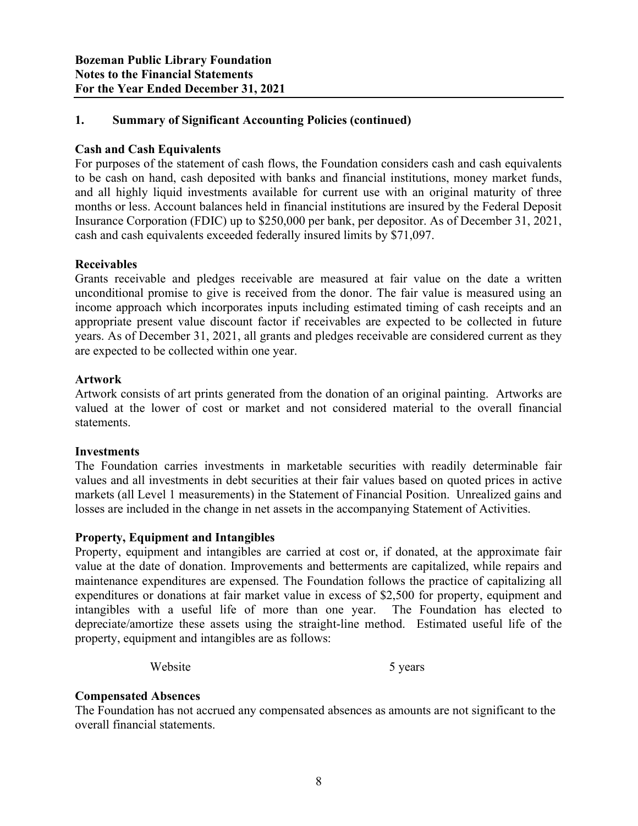# 1. Summary of Significant Accounting Policies (continued)

# Cash and Cash Equivalents

For purposes of the statement of cash flows, the Foundation considers cash and cash equivalents to be cash on hand, cash deposited with banks and financial institutions, money market funds, and all highly liquid investments available for current use with an original maturity of three months or less. Account balances held in financial institutions are insured by the Federal Deposit Insurance Corporation (FDIC) up to \$250,000 per bank, per depositor. As of December 31, 2021, cash and cash equivalents exceeded federally insured limits by \$71,097.

### Receivables

Grants receivable and pledges receivable are measured at fair value on the date a written unconditional promise to give is received from the donor. The fair value is measured using an income approach which incorporates inputs including estimated timing of cash receipts and an appropriate present value discount factor if receivables are expected to be collected in future years. As of December 31, 2021, all grants and pledges receivable are considered current as they are expected to be collected within one year.

### Artwork

Artwork consists of art prints generated from the donation of an original painting. Artworks are valued at the lower of cost or market and not considered material to the overall financial statements.

#### Investments

The Foundation carries investments in marketable securities with readily determinable fair values and all investments in debt securities at their fair values based on quoted prices in active markets (all Level 1 measurements) in the Statement of Financial Position. Unrealized gains and losses are included in the change in net assets in the accompanying Statement of Activities.

#### Property, Equipment and Intangibles

Property, equipment and intangibles are carried at cost or, if donated, at the approximate fair value at the date of donation. Improvements and betterments are capitalized, while repairs and maintenance expenditures are expensed. The Foundation follows the practice of capitalizing all expenditures or donations at fair market value in excess of \$2,500 for property, equipment and intangibles with a useful life of more than one year. The Foundation has elected to depreciate/amortize these assets using the straight-line method. Estimated useful life of the property, equipment and intangibles are as follows:

Website 5 years 5 years

#### Compensated Absences

The Foundation has not accrued any compensated absences as amounts are not significant to the overall financial statements.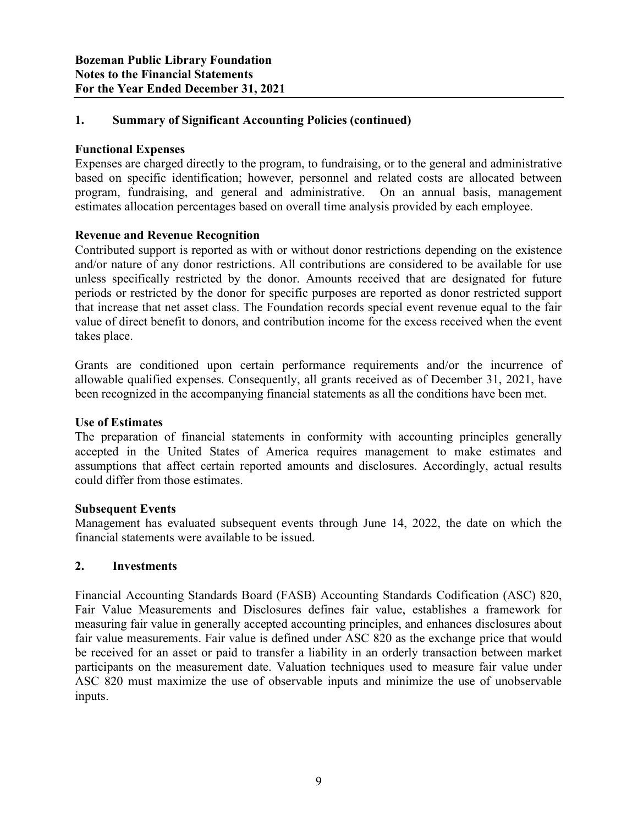# 1. Summary of Significant Accounting Policies (continued)

# Functional Expenses

Expenses are charged directly to the program, to fundraising, or to the general and administrative based on specific identification; however, personnel and related costs are allocated between program, fundraising, and general and administrative. On an annual basis, management estimates allocation percentages based on overall time analysis provided by each employee.

# Revenue and Revenue Recognition

Contributed support is reported as with or without donor restrictions depending on the existence and/or nature of any donor restrictions. All contributions are considered to be available for use unless specifically restricted by the donor. Amounts received that are designated for future periods or restricted by the donor for specific purposes are reported as donor restricted support that increase that net asset class. The Foundation records special event revenue equal to the fair value of direct benefit to donors, and contribution income for the excess received when the event takes place.

Grants are conditioned upon certain performance requirements and/or the incurrence of allowable qualified expenses. Consequently, all grants received as of December 31, 2021, have been recognized in the accompanying financial statements as all the conditions have been met.

#### Use of Estimates

The preparation of financial statements in conformity with accounting principles generally accepted in the United States of America requires management to make estimates and assumptions that affect certain reported amounts and disclosures. Accordingly, actual results could differ from those estimates.

#### Subsequent Events

Management has evaluated subsequent events through June 14, 2022, the date on which the financial statements were available to be issued.

#### 2. Investments

Financial Accounting Standards Board (FASB) Accounting Standards Codification (ASC) 820, Fair Value Measurements and Disclosures defines fair value, establishes a framework for measuring fair value in generally accepted accounting principles, and enhances disclosures about fair value measurements. Fair value is defined under ASC 820 as the exchange price that would be received for an asset or paid to transfer a liability in an orderly transaction between market participants on the measurement date. Valuation techniques used to measure fair value under ASC 820 must maximize the use of observable inputs and minimize the use of unobservable inputs.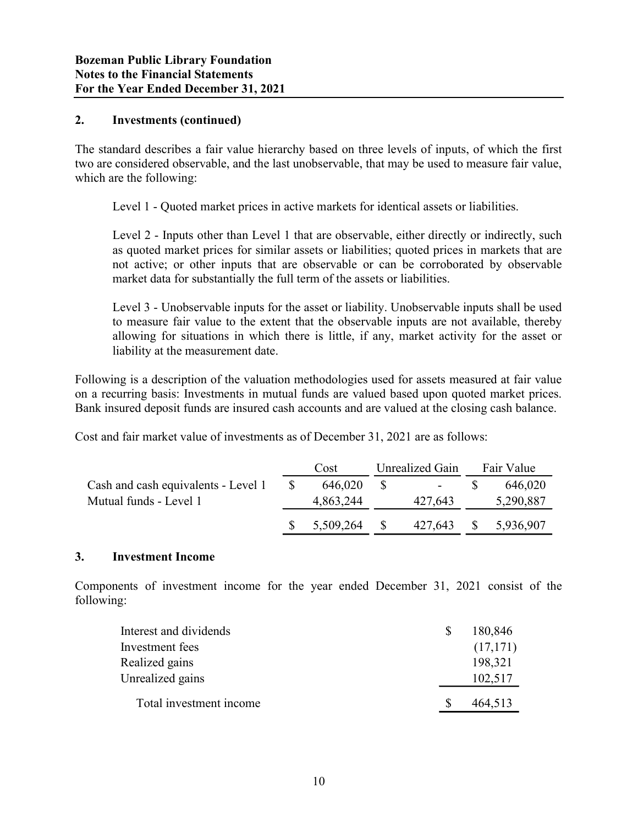### 2. Investments (continued)

The standard describes a fair value hierarchy based on three levels of inputs, of which the first two are considered observable, and the last unobservable, that may be used to measure fair value, which are the following:

| Level 1 - Quoted market prices in active markets for identical assets or liabilities.                                                                                                                                                                                                                                                                             |    |                 |              |                 |    |                       |  |
|-------------------------------------------------------------------------------------------------------------------------------------------------------------------------------------------------------------------------------------------------------------------------------------------------------------------------------------------------------------------|----|-----------------|--------------|-----------------|----|-----------------------|--|
| Level 2 - Inputs other than Level 1 that are observable, either directly or indirectly, such<br>as quoted market prices for similar assets or liabilities; quoted prices in markets that are<br>not active; or other inputs that are observable or can be corroborated by observable<br>market data for substantially the full term of the assets or liabilities. |    |                 |              |                 |    |                       |  |
| Level 3 - Unobservable inputs for the asset or liability. Unobservable inputs shall be used<br>to measure fair value to the extent that the observable inputs are not available, thereby<br>allowing for situations in which there is little, if any, market activity for the asset or<br>liability at the measurement date.                                      |    |                 |              |                 |    |                       |  |
| ollowing is a description of the valuation methodologies used for assets measured at fair value<br>a recurring basis: Investments in mutual funds are valued based upon quoted market prices.<br>ank insured deposit funds are insured cash accounts and are valued at the closing cash balance.                                                                  |    |                 |              |                 |    |                       |  |
| ost and fair market value of investments as of December 31, 2021 are as follows:                                                                                                                                                                                                                                                                                  |    |                 |              |                 |    |                       |  |
| Cash and cash equivalents - Level 1                                                                                                                                                                                                                                                                                                                               | S. | Cost<br>646,020 | \$           | Unrealized Gain | \$ | Fair Value<br>646,020 |  |
| Mutual funds - Level 1                                                                                                                                                                                                                                                                                                                                            |    | 4,863,244       |              | 427,643         |    | 5,290,887             |  |
|                                                                                                                                                                                                                                                                                                                                                                   |    | 5,509,264       | $\mathbb{S}$ | 427,643         | S. | 5,936,907             |  |
| <b>Investment Income</b>                                                                                                                                                                                                                                                                                                                                          |    |                 |              |                 |    |                       |  |

### 3. Investment Income

Components of investment income for the year ended December 31, 2021 consist of the following:

| fair market value of investments as of December 31, 2021 are as follows:            |              | Cost      |              | <b>Unrealized Gain</b> |              | Fair Value |
|-------------------------------------------------------------------------------------|--------------|-----------|--------------|------------------------|--------------|------------|
| nd cash equivalents - Level 1                                                       | $\mathbb{S}$ | 646,020   | $\mathbb{S}$ |                        | \$           | 646,020    |
| l funds - Level 1                                                                   |              | 4,863,244 |              | 427,643                |              | 5,290,887  |
|                                                                                     | \$           | 5,509,264 | \$           | 427,643                | <sup>S</sup> | 5,936,907  |
| <b>nvestment Income</b>                                                             |              |           |              |                        |              |            |
| ents of investment income for the year ended December 31, 2021 consist of the<br>ŗ: |              |           |              |                        |              |            |
| Interest and dividends                                                              |              |           |              | \$                     |              | 180,846    |
| Investment fees                                                                     |              |           |              |                        |              | (17,171)   |
| Realized gains                                                                      |              |           |              |                        |              | 198,321    |
| Unrealized gains                                                                    |              |           |              |                        |              | 102,517    |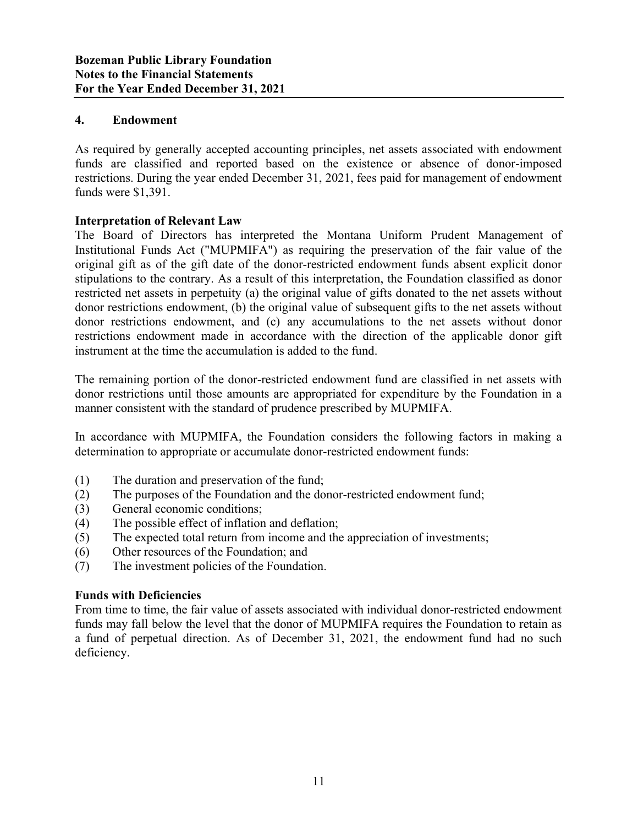### 4. Endowment

As required by generally accepted accounting principles, net assets associated with endowment funds are classified and reported based on the existence or absence of donor-imposed restrictions. During the year ended December 31, 2021, fees paid for management of endowment funds were \$1,391.

# Interpretation of Relevant Law

The Board of Directors has interpreted the Montana Uniform Prudent Management of Institutional Funds Act ("MUPMIFA") as requiring the preservation of the fair value of the original gift as of the gift date of the donor-restricted endowment funds absent explicit donor stipulations to the contrary. As a result of this interpretation, the Foundation classified as donor restricted net assets in perpetuity (a) the original value of gifts donated to the net assets without donor restrictions endowment, (b) the original value of subsequent gifts to the net assets without donor restrictions endowment, and (c) any accumulations to the net assets without donor restrictions endowment made in accordance with the direction of the applicable donor gift instrument at the time the accumulation is added to the fund.

The remaining portion of the donor-restricted endowment fund are classified in net assets with donor restrictions until those amounts are appropriated for expenditure by the Foundation in a manner consistent with the standard of prudence prescribed by MUPMIFA.

In accordance with MUPMIFA, the Foundation considers the following factors in making a determination to appropriate or accumulate donor-restricted endowment funds:

- (1) The duration and preservation of the fund;
- (2) The purposes of the Foundation and the donor-restricted endowment fund;
- (3) General economic conditions;
- (4) The possible effect of inflation and deflation;
- (5) The expected total return from income and the appreciation of investments;
- (6) Other resources of the Foundation; and
- (7) The investment policies of the Foundation.

#### Funds with Deficiencies

From time to time, the fair value of assets associated with individual donor-restricted endowment funds may fall below the level that the donor of MUPMIFA requires the Foundation to retain as a fund of perpetual direction. As of December 31, 2021, the endowment fund had no such deficiency.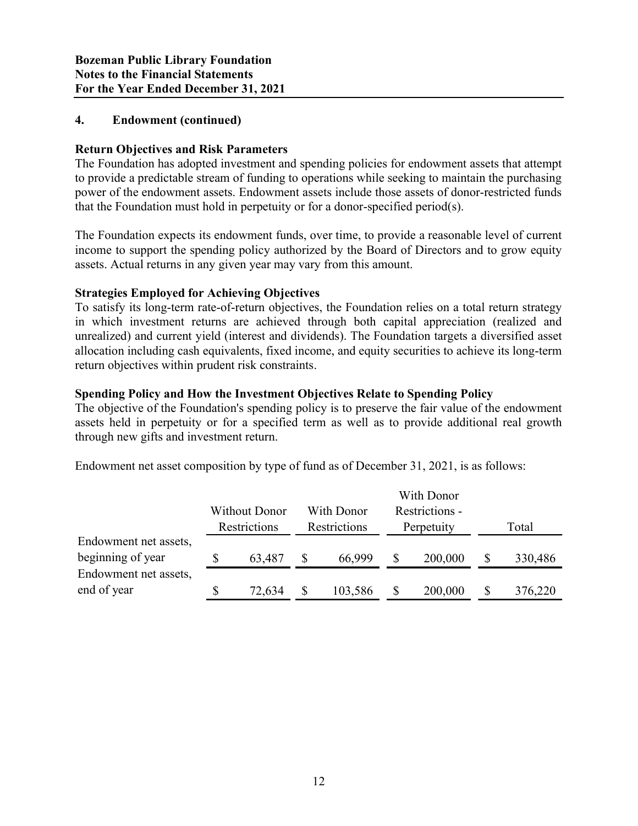### 4. Endowment (continued)

# Return Objectives and Risk Parameters

The Foundation has adopted investment and spending policies for endowment assets that attempt to provide a predictable stream of funding to operations while seeking to maintain the purchasing power of the endowment assets. Endowment assets include those assets of donor-restricted funds that the Foundation must hold in perpetuity or for a donor-specified period(s).

The Foundation expects its endowment funds, over time, to provide a reasonable level of current income to support the spending policy authorized by the Board of Directors and to grow equity assets. Actual returns in any given year may vary from this amount.

### Strategies Employed for Achieving Objectives

#### Spending Policy and How the Investment Objectives Relate to Spending Policy

| assets. Actual returns in any given year may vary from this amount.                                  |    |                      |    |              |    |                |    |         |  |
|------------------------------------------------------------------------------------------------------|----|----------------------|----|--------------|----|----------------|----|---------|--|
| <b>Strategies Employed for Achieving Objectives</b>                                                  |    |                      |    |              |    |                |    |         |  |
| To satisfy its long-term rate-of-return objectives, the Foundation relies on a total return strategy |    |                      |    |              |    |                |    |         |  |
| in which investment returns are achieved through both capital appreciation (realized and             |    |                      |    |              |    |                |    |         |  |
| unrealized) and current yield (interest and dividends). The Foundation targets a diversified asset   |    |                      |    |              |    |                |    |         |  |
| allocation including cash equivalents, fixed income, and equity securities to achieve its long-term  |    |                      |    |              |    |                |    |         |  |
| return objectives within prudent risk constraints.                                                   |    |                      |    |              |    |                |    |         |  |
| <b>Spending Policy and How the Investment Objectives Relate to Spending Policy</b>                   |    |                      |    |              |    |                |    |         |  |
| The objective of the Foundation's spending policy is to preserve the fair value of the endowment     |    |                      |    |              |    |                |    |         |  |
| assets held in perpetuity or for a specified term as well as to provide additional real growth       |    |                      |    |              |    |                |    |         |  |
| through new gifts and investment return.                                                             |    |                      |    |              |    |                |    |         |  |
|                                                                                                      |    |                      |    |              |    |                |    |         |  |
| Endowment net asset composition by type of fund as of December 31, 2021, is as follows:              |    |                      |    |              |    |                |    |         |  |
|                                                                                                      |    |                      |    |              |    |                |    |         |  |
|                                                                                                      |    |                      |    |              |    | With Donor     |    |         |  |
|                                                                                                      |    | <b>Without Donor</b> |    | With Donor   |    | Restrictions - |    |         |  |
|                                                                                                      |    | Restrictions         |    | Restrictions |    | Perpetuity     |    | Total   |  |
| Endowment net assets,                                                                                |    |                      |    |              |    |                |    |         |  |
| beginning of year                                                                                    | S. | 63,487               | S. | 66,999       | S. | 200,000        | S. | 330,486 |  |
| Endowment net assets,                                                                                |    |                      |    |              |    |                |    |         |  |
| end of year                                                                                          | \$ | 72,634               | S  | 103,586      |    | 200,000        |    | 376,220 |  |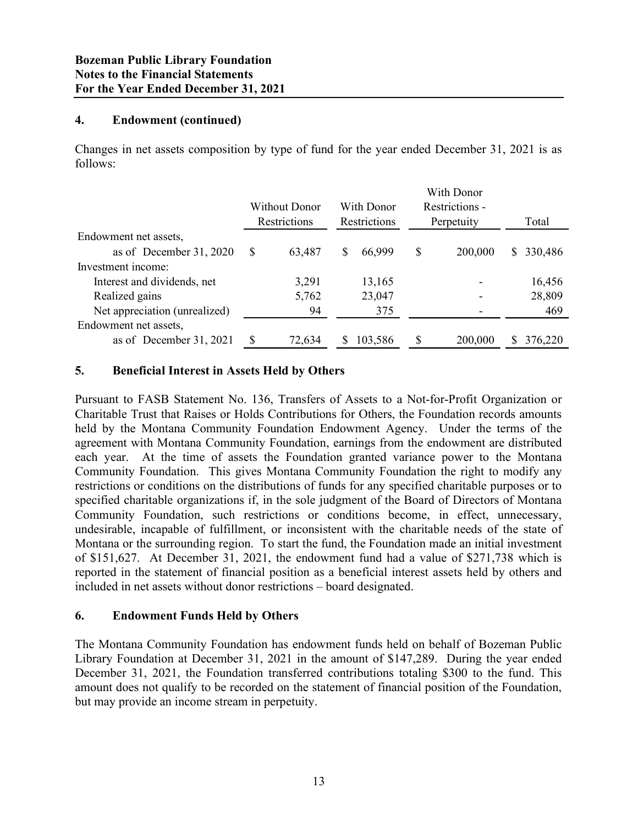### 4. Endowment (continued)

| <b>Bozeman Public Library Foundation</b><br><b>Notes to the Financial Statements</b><br>For the Year Ended December 31, 2021 |              |                                      |                            |                              |               |
|------------------------------------------------------------------------------------------------------------------------------|--------------|--------------------------------------|----------------------------|------------------------------|---------------|
| <b>Endowment (continued)</b><br>4.                                                                                           |              |                                      |                            |                              |               |
| Changes in net assets composition by type of fund for the year ended December 31, 2021 is as<br>follows:                     |              |                                      |                            |                              |               |
|                                                                                                                              |              |                                      |                            | With Donor                   |               |
|                                                                                                                              |              | <b>Without Donor</b><br>Restrictions | With Donor<br>Restrictions | Restrictions -<br>Perpetuity | Total         |
| Endowment net assets,                                                                                                        |              |                                      |                            |                              |               |
| as of December 31, 2020                                                                                                      | <sup>S</sup> | 63,487                               | \$<br>66,999               | \$<br>200,000                | \$ 330,486    |
| Investment income:                                                                                                           |              |                                      |                            |                              |               |
| Interest and dividends, net                                                                                                  |              | 3,291                                | 13,165                     |                              | 16,456        |
| Realized gains<br>Net appreciation (unrealized)                                                                              |              | 5,762<br>94                          | 23,047<br>375              |                              | 28,809<br>469 |
| Endowment net assets,                                                                                                        |              |                                      |                            |                              |               |

### 5. Beneficial Interest in Assets Held by Others

Pursuant to FASB Statement No. 136, Transfers of Assets to a Not-for-Profit Organization or Charitable Trust that Raises or Holds Contributions for Others, the Foundation records amounts held by the Montana Community Foundation Endowment Agency. Under the terms of the agreement with Montana Community Foundation, earnings from the endowment are distributed each year. At the time of assets the Foundation granted variance power to the Montana Community Foundation. This gives Montana Community Foundation the right to modify any restrictions or conditions on the distributions of funds for any specified charitable purposes or to specified charitable organizations if, in the sole judgment of the Board of Directors of Montana Community Foundation, such restrictions or conditions become, in effect, unnecessary, undesirable, incapable of fulfillment, or inconsistent with the charitable needs of the state of Montana or the surrounding region. To start the fund, the Foundation made an initial investment of \$151,627. At December 31, 2021, the endowment fund had a value of \$271,738 which is reported in the statement of financial position as a beneficial interest assets held by others and included in net assets without donor restrictions – board designated.

#### 6. Endowment Funds Held by Others

The Montana Community Foundation has endowment funds held on behalf of Bozeman Public Library Foundation at December 31, 2021 in the amount of \$147,289. During the year ended December 31, 2021, the Foundation transferred contributions totaling \$300 to the fund. This amount does not qualify to be recorded on the statement of financial position of the Foundation, but may provide an income stream in perpetuity.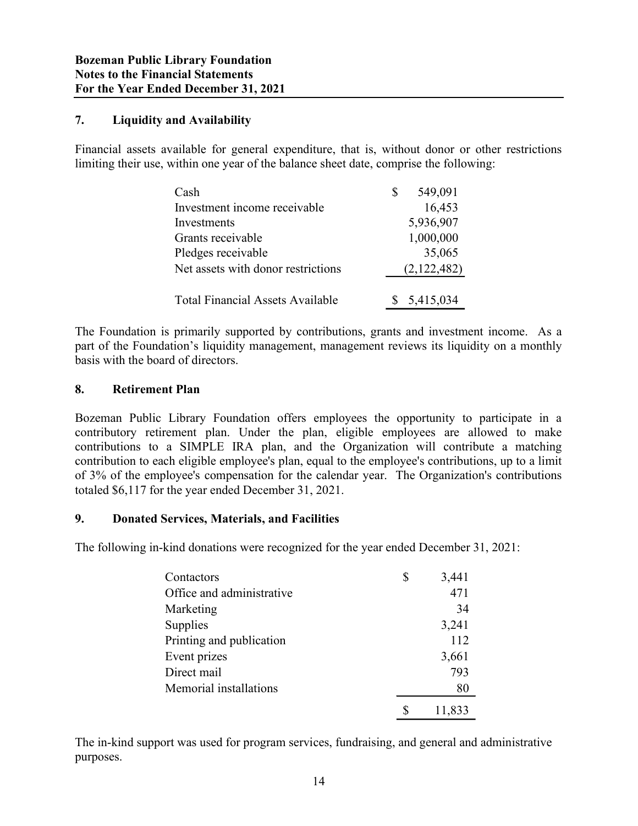### 7. Liquidity and Availability

Financial assets available for general expenditure, that is, without donor or other restrictions limiting their use, within one year of the balance sheet date, comprise the following:

| ibrary Foundation<br><b>Icial Statements</b><br>ed December 31, 2021                                                                                                      |               |
|---------------------------------------------------------------------------------------------------------------------------------------------------------------------------|---------------|
| nd Availability                                                                                                                                                           |               |
| vailable for general expenditure, that is, without donor or other restrictions<br>within one year of the balance sheet date, comprise the following:                      |               |
| Cash                                                                                                                                                                      | \$<br>549,091 |
| Investment income receivable                                                                                                                                              | 16,453        |
| Investments                                                                                                                                                               | 5,936,907     |
| Grants receivable                                                                                                                                                         | 1,000,000     |
| Pledges receivable                                                                                                                                                        | 35,065        |
| Net assets with donor restrictions                                                                                                                                        | (2,122,482)   |
| <b>Total Financial Assets Available</b>                                                                                                                                   | 5,415,034     |
| primarily supported by contributions, grants and investment income. As a<br>tion's liquidity management, management reviews its liquidity on a monthly<br>d of directors. |               |

The Foundation is primarily supported by contributions, grants and investment income. As a part of the Foundation's liquidity management, management reviews its liquidity on a monthly basis with the board of directors.

#### 8. Retirement Plan

Bozeman Public Library Foundation offers employees the opportunity to participate in a contributory retirement plan. Under the plan, eligible employees are allowed to make contributions to a SIMPLE IRA plan, and the Organization will contribute a matching contribution to each eligible employee's plan, equal to the employee's contributions, up to a limit of 3% of the employee's compensation for the calendar year. The Organization's contributions totaled \$6,117 for the year ended December 31, 2021. s primarily supported by contributions, grants and investment income. As a<br>ation's liquidity management, management reviews its liquidity on a monthly<br>rd of directors.<br>the Plan<br>dred of directors.<br>the Plan<br>mement plan. Unde

### 9. Donated Services, Materials, and Facilities

The following in-kind donations were recognized for the year ended December 31, 2021:

| is primarily supported by contributions, grants and investment income. As a<br>lation's liquidity management, management reviews its liquidity on a monthly<br>ard of directors.                                                                                                                                                                                                                                                                                                                                                                       |               |        |  |
|--------------------------------------------------------------------------------------------------------------------------------------------------------------------------------------------------------------------------------------------------------------------------------------------------------------------------------------------------------------------------------------------------------------------------------------------------------------------------------------------------------------------------------------------------------|---------------|--------|--|
| nt Plan                                                                                                                                                                                                                                                                                                                                                                                                                                                                                                                                                |               |        |  |
| Library Foundation offers employees the opportunity to participate in a<br>rement plan. Under the plan, eligible employees are allowed to make<br>a SIMPLE IRA plan, and the Organization will contribute a matching<br>ich eligible employee's plan, equal to the employee's contributions, up to a limit<br>ployee's compensation for the calendar year. The Organization's contributions<br>the year ended December 31, 2021.<br><b>Services, Materials, and Facilities</b><br>kind donations were recognized for the year ended December 31, 2021: |               |        |  |
| Contactors                                                                                                                                                                                                                                                                                                                                                                                                                                                                                                                                             | \$            | 3,441  |  |
| Office and administrative                                                                                                                                                                                                                                                                                                                                                                                                                                                                                                                              |               | 471    |  |
| Marketing                                                                                                                                                                                                                                                                                                                                                                                                                                                                                                                                              |               | 34     |  |
| Supplies                                                                                                                                                                                                                                                                                                                                                                                                                                                                                                                                               |               | 3,241  |  |
| Printing and publication                                                                                                                                                                                                                                                                                                                                                                                                                                                                                                                               |               | 112    |  |
| Event prizes                                                                                                                                                                                                                                                                                                                                                                                                                                                                                                                                           |               | 3,661  |  |
| Direct mail                                                                                                                                                                                                                                                                                                                                                                                                                                                                                                                                            |               | 793    |  |
| Memorial installations                                                                                                                                                                                                                                                                                                                                                                                                                                                                                                                                 |               | 80     |  |
|                                                                                                                                                                                                                                                                                                                                                                                                                                                                                                                                                        | <sup>\$</sup> | 11,833 |  |
| ort was used for program services, fundraising, and general and administrative                                                                                                                                                                                                                                                                                                                                                                                                                                                                         |               |        |  |

The in-kind support was used for program services, fundraising, and general and administrative purposes.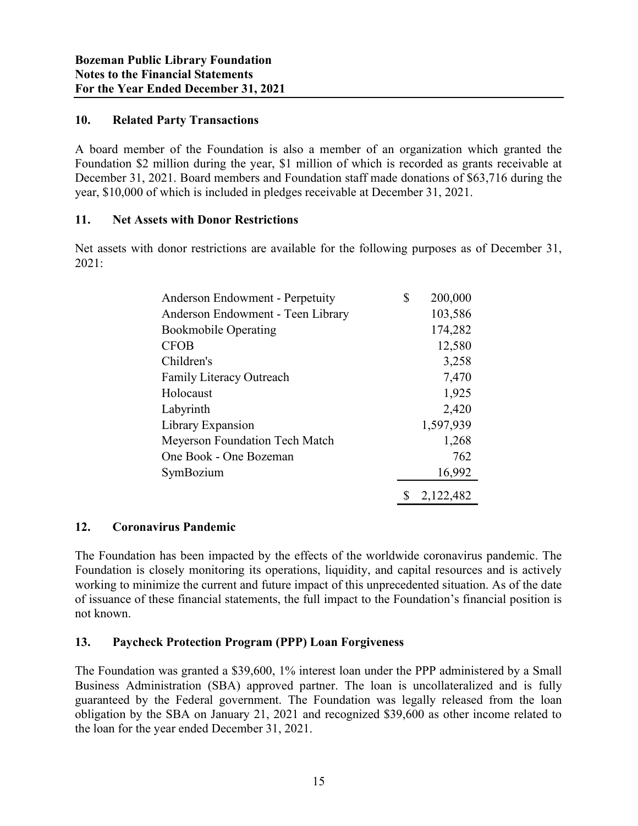# 10. Related Party Transactions

A board member of the Foundation is also a member of an organization which granted the Foundation \$2 million during the year, \$1 million of which is recorded as grants receivable at December 31, 2021. Board members and Foundation staff made donations of \$63,716 during the year, \$10,000 of which is included in pledges receivable at December 31, 2021.

### 11. Net Assets with Donor Restrictions

Net assets with donor restrictions are available for the following purposes as of December 31, 2021:

| ancial Statements<br>nded December 31, 2021                                                                                                                                                                                                                                                                       |                 |  |
|-------------------------------------------------------------------------------------------------------------------------------------------------------------------------------------------------------------------------------------------------------------------------------------------------------------------|-----------------|--|
|                                                                                                                                                                                                                                                                                                                   |                 |  |
| <b>Party Transactions</b>                                                                                                                                                                                                                                                                                         |                 |  |
| er of the Foundation is also a member of an organization which granted the<br>million during the year, \$1 million of which is recorded as grants receivable at<br>021. Board members and Foundation staff made donations of \$63,716 during the<br>which is included in pledges receivable at December 31, 2021. |                 |  |
| ts with Donor Restrictions                                                                                                                                                                                                                                                                                        |                 |  |
| donor restrictions are available for the following purposes as of December 31,                                                                                                                                                                                                                                    |                 |  |
| Anderson Endowment - Perpetuity                                                                                                                                                                                                                                                                                   | \$<br>200,000   |  |
| Anderson Endowment - Teen Library                                                                                                                                                                                                                                                                                 | 103,586         |  |
| <b>Bookmobile Operating</b>                                                                                                                                                                                                                                                                                       | 174,282         |  |
| <b>CFOB</b>                                                                                                                                                                                                                                                                                                       | 12,580          |  |
| Children's                                                                                                                                                                                                                                                                                                        | 3,258           |  |
| Family Literacy Outreach                                                                                                                                                                                                                                                                                          | 7,470           |  |
| Holocaust                                                                                                                                                                                                                                                                                                         | 1,925           |  |
| Labyrinth                                                                                                                                                                                                                                                                                                         | 2,420           |  |
| Library Expansion                                                                                                                                                                                                                                                                                                 | 1,597,939       |  |
| Meyerson Foundation Tech Match                                                                                                                                                                                                                                                                                    | 1,268           |  |
| One Book - One Bozeman                                                                                                                                                                                                                                                                                            | 762             |  |
|                                                                                                                                                                                                                                                                                                                   | 16,992          |  |
| SymBozium                                                                                                                                                                                                                                                                                                         |                 |  |
|                                                                                                                                                                                                                                                                                                                   | 2,122,482<br>S. |  |

# 12. Coronavirus Pandemic

The Foundation has been impacted by the effects of the worldwide coronavirus pandemic. The Foundation is closely monitoring its operations, liquidity, and capital resources and is actively working to minimize the current and future impact of this unprecedented situation. As of the date of issuance of these financial statements, the full impact to the Foundation's financial position is not known.

# 13. Paycheck Protection Program (PPP) Loan Forgiveness

The Foundation was granted a \$39,600, 1% interest loan under the PPP administered by a Small Business Administration (SBA) approved partner. The loan is uncollateralized and is fully guaranteed by the Federal government. The Foundation was legally released from the loan obligation by the SBA on January 21, 2021 and recognized \$39,600 as other income related to the loan for the year ended December 31, 2021.